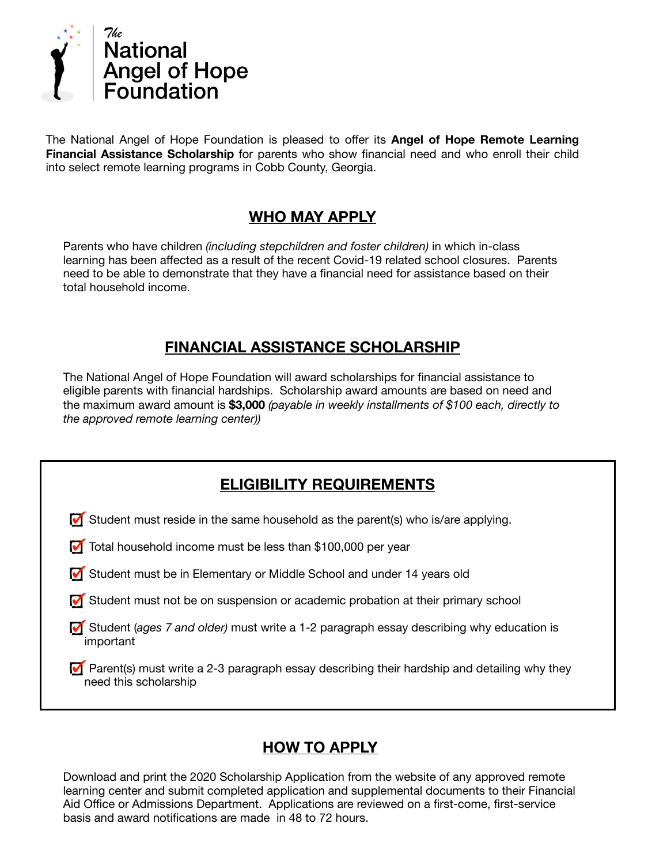

The National Angel of Hope Foundation is pleased to offer its **Angel of Hope Remote Learning Financial Assistance Scholarship** for parents who show financial need and who enroll their child into select remote learning programs in Cobb County, Georgia.

## **WHO MAY APPLY**

Parents who have children *(including stepchildren and foster children)* in which in-class learning has been affected as a result of the recent Covid-19 related school closures. Parents need to be able to demonstrate that they have a financial need for assistance based on their total household income.

## **FINANCIAL ASSISTANCE SCHOLARSHIP**

The National Angel of Hope Foundation will award scholarships for financial assistance to eligible parents with financial hardships. Scholarship award amounts are based on need and the maximum award amount is **\$3,000** *(payable in weekly installments of \$100 each, directly to the approved remote learning center))* 

## **HOW TO APPLY**

Download and print the 2020 Scholarship Application from the website of any approved remote learning center and submit completed application and supplemental documents to their Financial Aid Office or Admissions Department. Applications are reviewed on a first-come, first-service basis and award notifications are made in 48 to 72 hours.